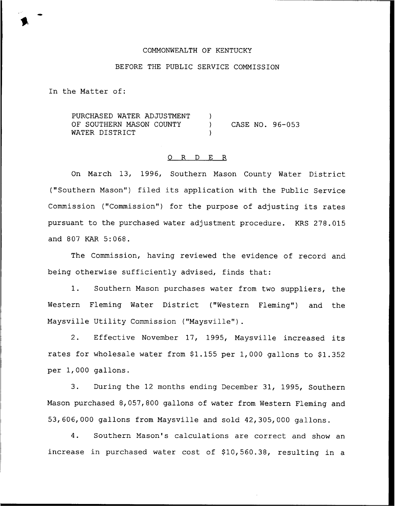## COMMONWEALTH OF KENTUCKY

### BEFORE THE PUBLIC SERVICE COMMISSION

In the Matter of:

PURCHASED WATER ADJUSTMENT OF SOUTHERN MASON COUNTY WATER DISTRICT ) ) CASE NO. 96-053 )

### 0 R <sup>D</sup> E R

On March 13, 1996, Southern Mason County Water District ("Southern Mason") filed its application with the Public Service Commission ("Commission") for the purpose of adjusting its rates pursuant to the purchased water adjustment procedure. KRS 278.015 and 807 KAR 5:068.

The Commission, having reviewed the evidence of record and being otherwise sufficiently advised, finds that:

1. Southern Mason purchases water from two suppliers, the Western Fleming Water District ("Western Fleming") and the Maysville Utility Commission ("Maysville").

2. Effective November 17, 1995, Maysville increased its rates for wholesale water from  $$1.155$  per 1,000 gallons to  $$1.352$ per 1,000 gallons.

3. During the <sup>12</sup> months ending December 31, 1995, Southern Mason purchased 8, 057, 800 gallons of water from Western Fleming and 53,606,000 gallons from Maysville and sold 42,305,000 gallons.

4. Southern Mason's calculations are correct and show an increase in purchased water cost of \$10,560.38, resulting in a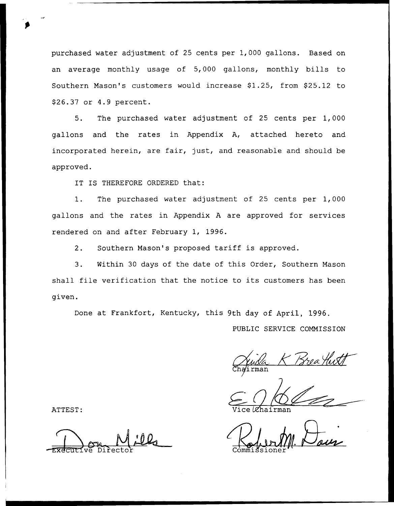purchased water adjustment of 25 cents per 1, 000 gallons. Based on an average monthly usage of 5,000 gallons, monthly bills to Southern Mason's customers would increase \$1.25, from \$25.12 to 926.37 or 4.9 percent.

5. The purchased water adjustment of 25 cents per 1,000 gallons and the rates in Appendix A, attached hereto and incorporated herein, are fair, just, and reasonable and should be approved.

IT IS THEREFORE ORDERED that:

1. The purchased water adjustment of <sup>25</sup> cents per 1,000 gallons and the rates in Appendix <sup>A</sup> are approved for services rendered on and after February 1, 1996.

2. Southern Mason's proposed tariff is approved.

3. Within 30 days of the date of this Order, Southern Mason shall file verification that the notice to its customers has been given.

Done at Frankfort, Kentucky, this 9th day of April, 1996. PUBLIC SERVICE COMMISSION

Chairma

ATTEST: Vice Lehairman

-Executive Director Commissione